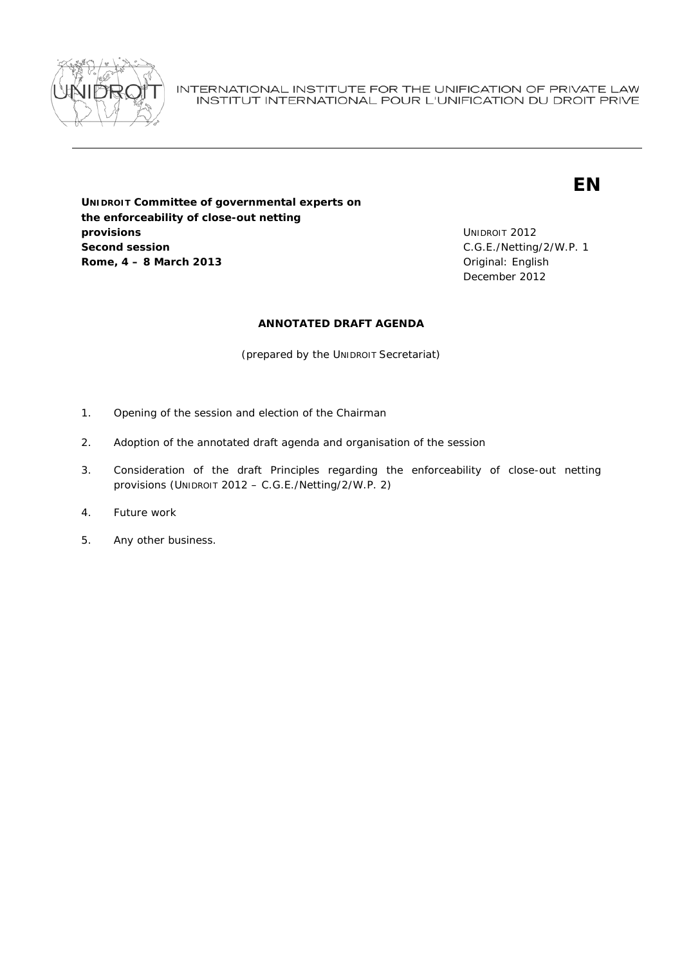

INTERNATIONAL INSTITUTE FOR THE UNIFICATION OF PRIVATE LAW INSTITUT INTERNATIONAL POUR L'UNIFICATION DU DROIT PRIVE

# **EN**

**UNIDROIT Committee of governmental experts on the enforceability of close-out netting provisions Second session Rome, 4 – 8 March 2013 Communicate English Communicate Communicate Communicate Communicate Communicate Communicate Communicate Communicate Communicate Communicate Communicate Communicate Communicate Communicate Commun** 

UNIDROIT 2012 C.G.E./Netting/2/W.P. 1 December 2012

## **ANNOTATED DRAFT AGENDA**

(prepared by the UNIDROIT Secretariat)

- 1. Opening of the session and election of the Chairman
- 2. Adoption of the annotated draft agenda and organisation of the session
- 3. Consideration of the draft Principles regarding the enforceability of close-out netting provisions (UNIDROIT 2012 – C.G.E./Netting/2/W.P. 2)
- 4. Future work
- 5. Any other business.